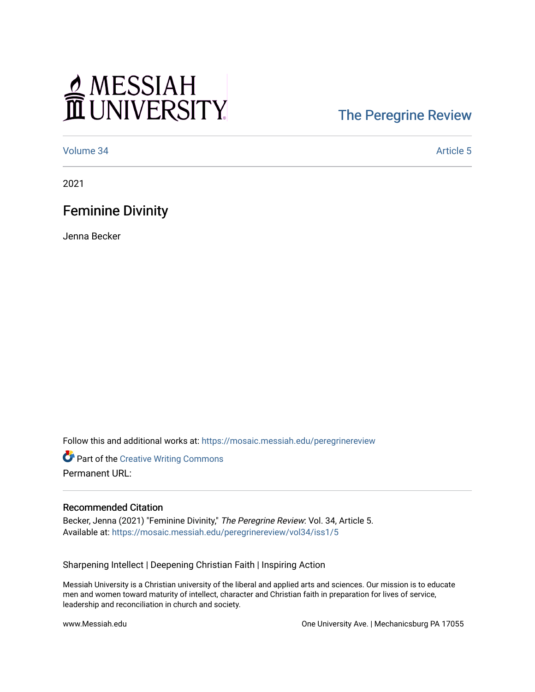# MESSIAH

## [The Peregrine Review](https://mosaic.messiah.edu/peregrinereview)

[Volume 34](https://mosaic.messiah.edu/peregrinereview/vol34) Article 5

2021

### Feminine Divinity

Jenna Becker

Follow this and additional works at: [https://mosaic.messiah.edu/peregrinereview](https://mosaic.messiah.edu/peregrinereview?utm_source=mosaic.messiah.edu%2Fperegrinereview%2Fvol34%2Fiss1%2F5&utm_medium=PDF&utm_campaign=PDFCoverPages) 

**Part of the Creative Writing Commons** Permanent URL:

#### Recommended Citation

Becker, Jenna (2021) "Feminine Divinity," The Peregrine Review: Vol. 34, Article 5. Available at: [https://mosaic.messiah.edu/peregrinereview/vol34/iss1/5](https://mosaic.messiah.edu/peregrinereview/vol34/iss1/5?utm_source=mosaic.messiah.edu%2Fperegrinereview%2Fvol34%2Fiss1%2F5&utm_medium=PDF&utm_campaign=PDFCoverPages) 

Sharpening Intellect | Deepening Christian Faith | Inspiring Action

Messiah University is a Christian university of the liberal and applied arts and sciences. Our mission is to educate men and women toward maturity of intellect, character and Christian faith in preparation for lives of service, leadership and reconciliation in church and society.

www.Messiah.edu **One University Ave. | Mechanicsburg PA 17055**